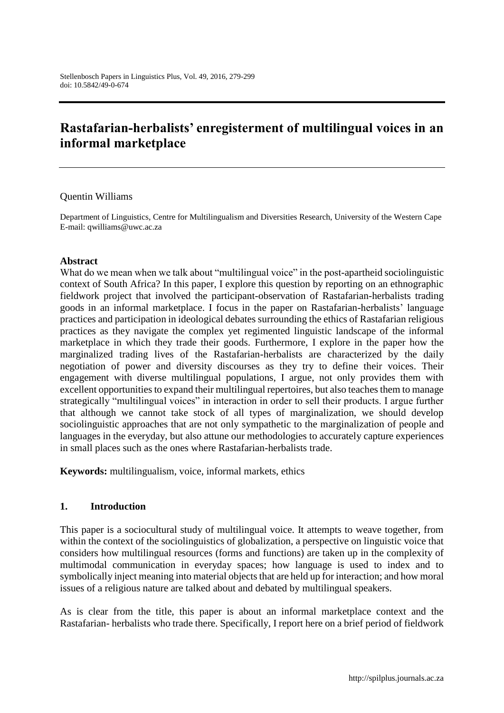# **Rastafarian-herbalists' enregisterment of multilingual voices in an informal marketplace**

#### Quentin Williams

Department of Linguistics, Centre for Multilingualism and Diversities Research, University of the Western Cape E-mail: qwilliams@uwc.ac.za

#### **Abstract**

What do we mean when we talk about "multilingual voice" in the post-apartheid sociolinguistic context of South Africa? In this paper, I explore this question by reporting on an ethnographic fieldwork project that involved the participant-observation of Rastafarian-herbalists trading goods in an informal marketplace. I focus in the paper on Rastafarian-herbalists' language practices and participation in ideological debates surrounding the ethics of Rastafarian religious practices as they navigate the complex yet regimented linguistic landscape of the informal marketplace in which they trade their goods. Furthermore, I explore in the paper how the marginalized trading lives of the Rastafarian-herbalists are characterized by the daily negotiation of power and diversity discourses as they try to define their voices. Their engagement with diverse multilingual populations, I argue, not only provides them with excellent opportunities to expand their multilingual repertoires, but also teaches them to manage strategically "multilingual voices" in interaction in order to sell their products. I argue further that although we cannot take stock of all types of marginalization, we should develop sociolinguistic approaches that are not only sympathetic to the marginalization of people and languages in the everyday, but also attune our methodologies to accurately capture experiences in small places such as the ones where Rastafarian-herbalists trade.

**Keywords:** multilingualism, voice, informal markets, ethics

#### **1. Introduction**

This paper is a sociocultural study of multilingual voice. It attempts to weave together, from within the context of the sociolinguistics of globalization, a perspective on linguistic voice that considers how multilingual resources (forms and functions) are taken up in the complexity of multimodal communication in everyday spaces; how language is used to index and to symbolically inject meaning into material objects that are held up for interaction; and how moral issues of a religious nature are talked about and debated by multilingual speakers.

As is clear from the title, this paper is about an informal marketplace context and the Rastafarian- herbalists who trade there. Specifically, I report here on a brief period of fieldwork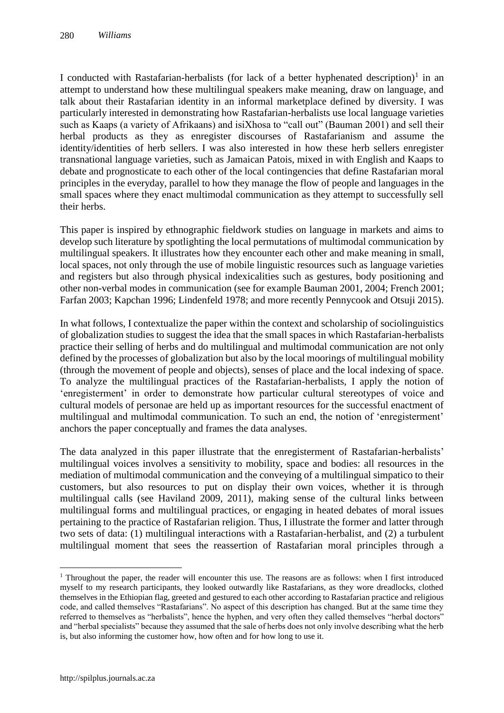I conducted with Rastafarian-herbalists (for lack of a better hyphenated description) $1$  in an attempt to understand how these multilingual speakers make meaning, draw on language, and talk about their Rastafarian identity in an informal marketplace defined by diversity. I was particularly interested in demonstrating how Rastafarian-herbalists use local language varieties such as Kaaps (a variety of Afrikaans) and isiXhosa to "call out" (Bauman 2001) and sell their herbal products as they as enregister discourses of Rastafarianism and assume the identity/identities of herb sellers. I was also interested in how these herb sellers enregister transnational language varieties, such as Jamaican Patois, mixed in with English and Kaaps to debate and prognosticate to each other of the local contingencies that define Rastafarian moral principles in the everyday, parallel to how they manage the flow of people and languages in the small spaces where they enact multimodal communication as they attempt to successfully sell their herbs.

This paper is inspired by ethnographic fieldwork studies on language in markets and aims to develop such literature by spotlighting the local permutations of multimodal communication by multilingual speakers. It illustrates how they encounter each other and make meaning in small, local spaces, not only through the use of mobile linguistic resources such as language varieties and registers but also through physical indexicalities such as gestures, body positioning and other non-verbal modes in communication (see for example Bauman 2001, 2004; French 2001; Farfan 2003; Kapchan 1996; Lindenfeld 1978; and more recently Pennycook and Otsuji 2015).

In what follows, I contextualize the paper within the context and scholarship of sociolinguistics of globalization studies to suggest the idea that the small spaces in which Rastafarian-herbalists practice their selling of herbs and do multilingual and multimodal communication are not only defined by the processes of globalization but also by the local moorings of multilingual mobility (through the movement of people and objects), senses of place and the local indexing of space. To analyze the multilingual practices of the Rastafarian-herbalists, I apply the notion of 'enregisterment' in order to demonstrate how particular cultural stereotypes of voice and cultural models of personae are held up as important resources for the successful enactment of multilingual and multimodal communication. To such an end, the notion of 'enregisterment' anchors the paper conceptually and frames the data analyses.

The data analyzed in this paper illustrate that the enregisterment of Rastafarian-herbalists' multilingual voices involves a sensitivity to mobility, space and bodies: all resources in the mediation of multimodal communication and the conveying of a multilingual simpatico to their customers, but also resources to put on display their own voices, whether it is through multilingual calls (see Haviland 2009, 2011), making sense of the cultural links between multilingual forms and multilingual practices, or engaging in heated debates of moral issues pertaining to the practice of Rastafarian religion. Thus, I illustrate the former and latter through two sets of data: (1) multilingual interactions with a Rastafarian-herbalist, and (2) a turbulent multilingual moment that sees the reassertion of Rastafarian moral principles through a

 $\overline{a}$ 

<sup>&</sup>lt;sup>1</sup> Throughout the paper, the reader will encounter this use. The reasons are as follows: when I first introduced myself to my research participants, they looked outwardly like Rastafarians, as they wore dreadlocks, clothed themselves in the Ethiopian flag, greeted and gestured to each other according to Rastafarian practice and religious code, and called themselves "Rastafarians". No aspect of this description has changed. But at the same time they referred to themselves as "herbalists", hence the hyphen, and very often they called themselves "herbal doctors" and "herbal specialists" because they assumed that the sale of herbs does not only involve describing what the herb is, but also informing the customer how, how often and for how long to use it.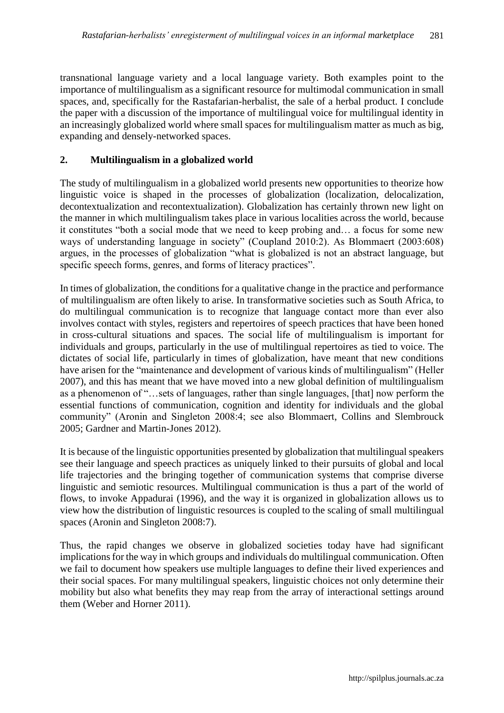transnational language variety and a local language variety. Both examples point to the importance of multilingualism as a significant resource for multimodal communication in small spaces, and, specifically for the Rastafarian-herbalist, the sale of a herbal product. I conclude the paper with a discussion of the importance of multilingual voice for multilingual identity in an increasingly globalized world where small spaces for multilingualism matter as much as big, expanding and densely-networked spaces.

# **2. Multilingualism in a globalized world**

The study of multilingualism in a globalized world presents new opportunities to theorize how linguistic voice is shaped in the processes of globalization (localization, delocalization, decontextualization and recontextualization). Globalization has certainly thrown new light on the manner in which multilingualism takes place in various localities across the world, because it constitutes "both a social mode that we need to keep probing and… a focus for some new ways of understanding language in society" (Coupland 2010:2). As Blommaert (2003:608) argues, in the processes of globalization "what is globalized is not an abstract language, but specific speech forms, genres, and forms of literacy practices".

In times of globalization, the conditions for a qualitative change in the practice and performance of multilingualism are often likely to arise. In transformative societies such as South Africa, to do multilingual communication is to recognize that language contact more than ever also involves contact with styles, registers and repertoires of speech practices that have been honed in cross-cultural situations and spaces. The social life of multilingualism is important for individuals and groups, particularly in the use of multilingual repertoires as tied to voice. The dictates of social life, particularly in times of globalization, have meant that new conditions have arisen for the "maintenance and development of various kinds of multilingualism" (Heller 2007), and this has meant that we have moved into a new global definition of multilingualism as a phenomenon of "…sets of languages, rather than single languages, [that] now perform the essential functions of communication, cognition and identity for individuals and the global community" (Aronin and Singleton 2008:4; see also Blommaert, Collins and Slembrouck 2005; Gardner and Martin-Jones 2012).

It is because of the linguistic opportunities presented by globalization that multilingual speakers see their language and speech practices as uniquely linked to their pursuits of global and local life trajectories and the bringing together of communication systems that comprise diverse linguistic and semiotic resources. Multilingual communication is thus a part of the world of flows, to invoke Appadurai (1996), and the way it is organized in globalization allows us to view how the distribution of linguistic resources is coupled to the scaling of small multilingual spaces (Aronin and Singleton 2008:7).

Thus, the rapid changes we observe in globalized societies today have had significant implications for the way in which groups and individuals do multilingual communication. Often we fail to document how speakers use multiple languages to define their lived experiences and their social spaces. For many multilingual speakers, linguistic choices not only determine their mobility but also what benefits they may reap from the array of interactional settings around them (Weber and Horner 2011).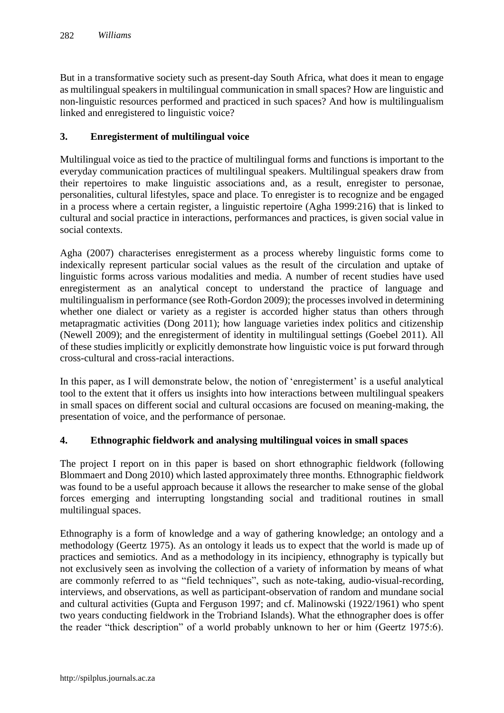But in a transformative society such as present-day South Africa, what does it mean to engage as multilingual speakers in multilingual communication in small spaces? How are linguistic and non-linguistic resources performed and practiced in such spaces? And how is multilingualism linked and enregistered to linguistic voice?

# **3. Enregisterment of multilingual voice**

Multilingual voice as tied to the practice of multilingual forms and functions is important to the everyday communication practices of multilingual speakers. Multilingual speakers draw from their repertoires to make linguistic associations and, as a result, enregister to personae, personalities, cultural lifestyles, space and place. To enregister is to recognize and be engaged in a process where a certain register, a linguistic repertoire (Agha 1999:216) that is linked to cultural and social practice in interactions, performances and practices, is given social value in social contexts.

Agha (2007) characterises enregisterment as a process whereby linguistic forms come to indexically represent particular social values as the result of the circulation and uptake of linguistic forms across various modalities and media. A number of recent studies have used enregisterment as an analytical concept to understand the practice of language and multilingualism in performance (see Roth-Gordon 2009); the processes involved in determining whether one dialect or variety as a register is accorded higher status than others through metapragmatic activities (Dong 2011); how language varieties index politics and citizenship (Newell 2009); and the enregisterment of identity in multilingual settings (Goebel 2011). All of these studies implicitly or explicitly demonstrate how linguistic voice is put forward through cross-cultural and cross-racial interactions.

In this paper, as I will demonstrate below, the notion of 'enregisterment' is a useful analytical tool to the extent that it offers us insights into how interactions between multilingual speakers in small spaces on different social and cultural occasions are focused on meaning-making, the presentation of voice, and the performance of personae.

# **4. Ethnographic fieldwork and analysing multilingual voices in small spaces**

The project I report on in this paper is based on short ethnographic fieldwork (following Blommaert and Dong 2010) which lasted approximately three months. Ethnographic fieldwork was found to be a useful approach because it allows the researcher to make sense of the global forces emerging and interrupting longstanding social and traditional routines in small multilingual spaces.

Ethnography is a form of knowledge and a way of gathering knowledge; an ontology and a methodology (Geertz 1975). As an ontology it leads us to expect that the world is made up of practices and semiotics. And as a methodology in its incipiency, ethnography is typically but not exclusively seen as involving the collection of a variety of information by means of what are commonly referred to as "field techniques", such as note-taking, audio-visual-recording, interviews, and observations, as well as participant-observation of random and mundane social and cultural activities (Gupta and Ferguson 1997; and cf. Malinowski (1922/1961) who spent two years conducting fieldwork in the Trobriand Islands). What the ethnographer does is offer the reader "thick description" of a world probably unknown to her or him (Geertz 1975:6).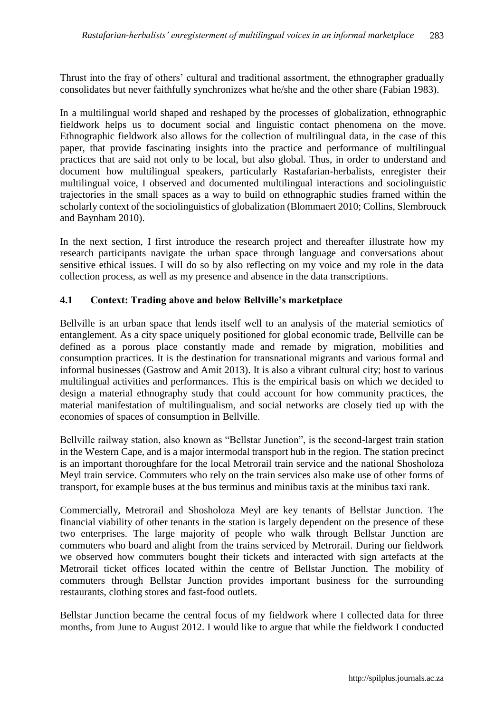Thrust into the fray of others' cultural and traditional assortment, the ethnographer gradually consolidates but never faithfully synchronizes what he/she and the other share (Fabian 1983).

In a multilingual world shaped and reshaped by the processes of globalization, ethnographic fieldwork helps us to document social and linguistic contact phenomena on the move. Ethnographic fieldwork also allows for the collection of multilingual data, in the case of this paper, that provide fascinating insights into the practice and performance of multilingual practices that are said not only to be local, but also global. Thus, in order to understand and document how multilingual speakers, particularly Rastafarian-herbalists, enregister their multilingual voice, I observed and documented multilingual interactions and sociolinguistic trajectories in the small spaces as a way to build on ethnographic studies framed within the scholarly context of the sociolinguistics of globalization (Blommaert 2010; Collins, Slembrouck and Baynham 2010).

In the next section, I first introduce the research project and thereafter illustrate how my research participants navigate the urban space through language and conversations about sensitive ethical issues. I will do so by also reflecting on my voice and my role in the data collection process, as well as my presence and absence in the data transcriptions.

# **4.1 Context: Trading above and below Bellville's marketplace**

Bellville is an urban space that lends itself well to an analysis of the material semiotics of entanglement. As a city space uniquely positioned for global economic trade, Bellville can be defined as a porous place constantly made and remade by migration, mobilities and consumption practices. It is the destination for transnational migrants and various formal and informal businesses (Gastrow and Amit 2013). It is also a vibrant cultural city; host to various multilingual activities and performances. This is the empirical basis on which we decided to design a material ethnography study that could account for how community practices, the material manifestation of multilingualism, and social networks are closely tied up with the economies of spaces of consumption in Bellville.

Bellville railway station, also known as "Bellstar Junction", is the second-largest train station in the Western Cape, and is a major intermodal transport hub in the region. The station precinct is an important thoroughfare for the local Metrorail train service and the national Shosholoza Meyl train service. Commuters who rely on the train services also make use of other forms of transport, for example buses at the bus terminus and minibus taxis at the minibus taxi rank.

Commercially, Metrorail and Shosholoza Meyl are key tenants of Bellstar Junction. The financial viability of other tenants in the station is largely dependent on the presence of these two enterprises. The large majority of people who walk through Bellstar Junction are commuters who board and alight from the trains serviced by Metrorail. During our fieldwork we observed how commuters bought their tickets and interacted with sign artefacts at the Metrorail ticket offices located within the centre of Bellstar Junction. The mobility of commuters through Bellstar Junction provides important business for the surrounding restaurants, clothing stores and fast-food outlets.

Bellstar Junction became the central focus of my fieldwork where I collected data for three months, from June to August 2012. I would like to argue that while the fieldwork I conducted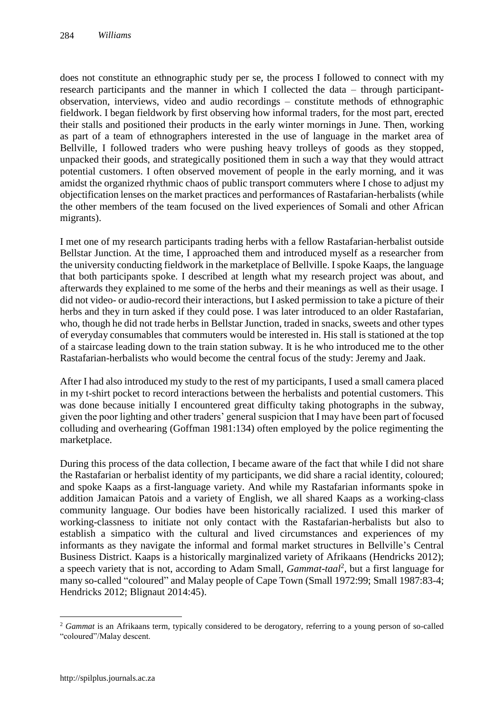does not constitute an ethnographic study per se, the process I followed to connect with my research participants and the manner in which I collected the data – through participantobservation, interviews, video and audio recordings – constitute methods of ethnographic fieldwork. I began fieldwork by first observing how informal traders, for the most part, erected their stalls and positioned their products in the early winter mornings in June. Then, working as part of a team of ethnographers interested in the use of language in the market area of Bellville, I followed traders who were pushing heavy trolleys of goods as they stopped, unpacked their goods, and strategically positioned them in such a way that they would attract potential customers. I often observed movement of people in the early morning, and it was amidst the organized rhythmic chaos of public transport commuters where I chose to adjust my objectification lenses on the market practices and performances of Rastafarian-herbalists (while the other members of the team focused on the lived experiences of Somali and other African migrants).

I met one of my research participants trading herbs with a fellow Rastafarian-herbalist outside Bellstar Junction. At the time, I approached them and introduced myself as a researcher from the university conducting fieldwork in the marketplace of Bellville. I spoke Kaaps, the language that both participants spoke. I described at length what my research project was about, and afterwards they explained to me some of the herbs and their meanings as well as their usage. I did not video- or audio-record their interactions, but I asked permission to take a picture of their herbs and they in turn asked if they could pose. I was later introduced to an older Rastafarian, who, though he did not trade herbs in Bellstar Junction, traded in snacks, sweets and other types of everyday consumables that commuters would be interested in. His stall is stationed at the top of a staircase leading down to the train station subway. It is he who introduced me to the other Rastafarian-herbalists who would become the central focus of the study: Jeremy and Jaak.

After I had also introduced my study to the rest of my participants, I used a small camera placed in my t-shirt pocket to record interactions between the herbalists and potential customers. This was done because initially I encountered great difficulty taking photographs in the subway, given the poor lighting and other traders' general suspicion that I may have been part of focused colluding and overhearing (Goffman 1981:134) often employed by the police regimenting the marketplace.

During this process of the data collection, I became aware of the fact that while I did not share the Rastafarian or herbalist identity of my participants, we did share a racial identity, coloured; and spoke Kaaps as a first-language variety. And while my Rastafarian informants spoke in addition Jamaican Patois and a variety of English, we all shared Kaaps as a working-class community language. Our bodies have been historically racialized. I used this marker of working-classness to initiate not only contact with the Rastafarian-herbalists but also to establish a simpatico with the cultural and lived circumstances and experiences of my informants as they navigate the informal and formal market structures in Bellville's Central Business District. Kaaps is a historically marginalized variety of Afrikaans (Hendricks 2012); a speech variety that is not, according to Adam Small, *Gammat-taal*<sup>2</sup> , but a first language for many so-called "coloured" and Malay people of Cape Town (Small 1972:99; Small 1987:83-4; Hendricks 2012; Blignaut 2014:45).

 $\overline{a}$ 

<sup>&</sup>lt;sup>2</sup> *Gammat* is an Afrikaans term, typically considered to be derogatory, referring to a young person of so-called "coloured"/Malay descent.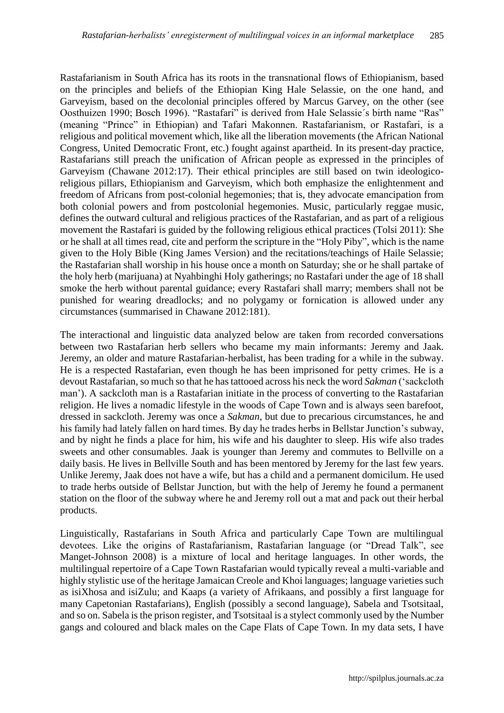Rastafarianism in South Africa has its roots in the transnational flows of Ethiopianism, based on the principles and beliefs of the Ethiopian King Hale Selassie, on the one hand, and Garveyism, based on the decolonial principles offered by Marcus Garvey, on the other (see Oosthuizen 1990; Bosch 1996). "Rastafari" is derived from Hale Selassie´s birth name "Ras" (meaning "Prince" in Ethiopian) and Tafari Makonnen. Rastafarianism, or Rastafari, is a religious and political movement which, like all the liberation movements (the African National Congress, United Democratic Front, etc.) fought against apartheid. In its present-day practice, Rastafarians still preach the unification of African people as expressed in the principles of Garveyism (Chawane 2012:17). Their ethical principles are still based on twin ideologicoreligious pillars, Ethiopianism and Garveyism, which both emphasize the enlightenment and freedom of Africans from post-colonial hegemonies; that is, they advocate emancipation from both colonial powers and from postcolonial hegemonies. Music, particularly reggae music, defines the outward cultural and religious practices of the Rastafarian, and as part of a religious movement the Rastafari is guided by the following religious ethical practices (Tolsi 2011): She or he shall at all times read, cite and perform the scripture in the "Holy Piby", which is the name given to the Holy Bible (King James Version) and the recitations/teachings of Haile Selassie; the Rastafarian shall worship in his house once a month on Saturday; she or he shall partake of the holy herb (marijuana) at Nyahbinghi Holy gatherings; no Rastafari under the age of 18 shall smoke the herb without parental guidance; every Rastafari shall marry; members shall not be punished for wearing dreadlocks; and no polygamy or fornication is allowed under any circumstances (summarised in Chawane 2012:181).

The interactional and linguistic data analyzed below are taken from recorded conversations between two Rastafarian herb sellers who became my main informants: Jeremy and Jaak. Jeremy, an older and mature Rastafarian-herbalist, has been trading for a while in the subway. He is a respected Rastafarian, even though he has been imprisoned for petty crimes. He is a devout Rastafarian, so much so that he has tattooed across his neck the word *Sakman* ('sackcloth man'). A sackcloth man is a Rastafarian initiate in the process of converting to the Rastafarian religion. He lives a nomadic lifestyle in the woods of Cape Town and is always seen barefoot, dressed in sackcloth. Jeremy was once a *Sakman*, but due to precarious circumstances, he and his family had lately fallen on hard times. By day he trades herbs in Bellstar Junction's subway, and by night he finds a place for him, his wife and his daughter to sleep. His wife also trades sweets and other consumables. Jaak is younger than Jeremy and commutes to Bellville on a daily basis. He lives in Bellville South and has been mentored by Jeremy for the last few years. Unlike Jeremy, Jaak does not have a wife, but has a child and a permanent domicilum. He used to trade herbs outside of Bellstar Junction, but with the help of Jeremy he found a permanent station on the floor of the subway where he and Jeremy roll out a mat and pack out their herbal products.

Linguistically, Rastafarians in South Africa and particularly Cape Town are multilingual devotees. Like the origins of Rastafarianism, Rastafarian language (or "Dread Talk", see Manget-Johnson 2008) is a mixture of local and heritage languages. In other words, the multilingual repertoire of a Cape Town Rastafarian would typically reveal a multi-variable and highly stylistic use of the heritage Jamaican Creole and Khoi languages; language varieties such as isiXhosa and isiZulu; and Kaaps (a variety of Afrikaans, and possibly a first language for many Capetonian Rastafarians), English (possibly a second language), Sabela and Tsotsitaal, and so on. Sabela is the prison register, and Tsotsitaal is a stylect commonly used by the Number gangs and coloured and black males on the Cape Flats of Cape Town. In my data sets, I have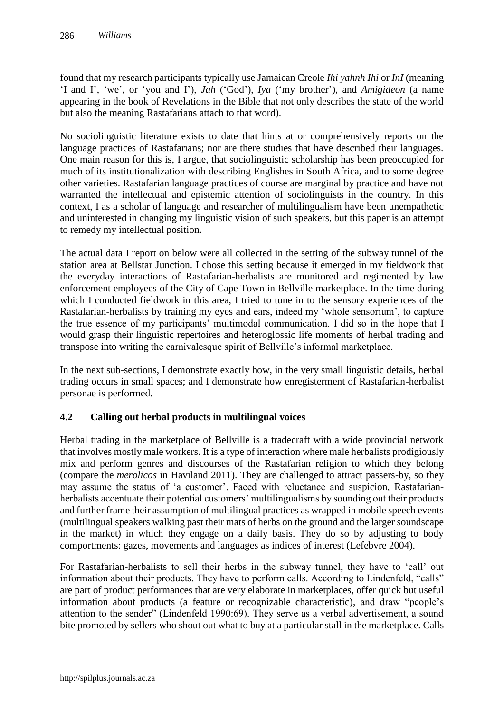found that my research participants typically use Jamaican Creole *Ihi yahnh Ihi* or *InI* (meaning 'I and I', 'we', or 'you and I'), *Jah* ('God'), *Iya* ('my brother'), and *Amigideon* (a name appearing in the book of Revelations in the Bible that not only describes the state of the world but also the meaning Rastafarians attach to that word).

No sociolinguistic literature exists to date that hints at or comprehensively reports on the language practices of Rastafarians; nor are there studies that have described their languages. One main reason for this is, I argue, that sociolinguistic scholarship has been preoccupied for much of its institutionalization with describing Englishes in South Africa, and to some degree other varieties. Rastafarian language practices of course are marginal by practice and have not warranted the intellectual and epistemic attention of sociolinguists in the country. In this context, I as a scholar of language and researcher of multilingualism have been unempathetic and uninterested in changing my linguistic vision of such speakers, but this paper is an attempt to remedy my intellectual position.

The actual data I report on below were all collected in the setting of the subway tunnel of the station area at Bellstar Junction. I chose this setting because it emerged in my fieldwork that the everyday interactions of Rastafarian-herbalists are monitored and regimented by law enforcement employees of the City of Cape Town in Bellville marketplace. In the time during which I conducted fieldwork in this area, I tried to tune in to the sensory experiences of the Rastafarian-herbalists by training my eyes and ears, indeed my 'whole sensorium', to capture the true essence of my participants' multimodal communication. I did so in the hope that I would grasp their linguistic repertoires and heteroglossic life moments of herbal trading and transpose into writing the carnivalesque spirit of Bellville's informal marketplace.

In the next sub-sections, I demonstrate exactly how, in the very small linguistic details, herbal trading occurs in small spaces; and I demonstrate how enregisterment of Rastafarian-herbalist personae is performed.

# **4.2 Calling out herbal products in multilingual voices**

Herbal trading in the marketplace of Bellville is a tradecraft with a wide provincial network that involves mostly male workers. It is a type of interaction where male herbalists prodigiously mix and perform genres and discourses of the Rastafarian religion to which they belong (compare the *merolicos* in Haviland 2011). They are challenged to attract passers-by, so they may assume the status of 'a customer'. Faced with reluctance and suspicion, Rastafarianherbalists accentuate their potential customers' multilingualisms by sounding out their products and further frame their assumption of multilingual practices as wrapped in mobile speech events (multilingual speakers walking past their mats of herbs on the ground and the larger soundscape in the market) in which they engage on a daily basis. They do so by adjusting to body comportments: gazes, movements and languages as indices of interest (Lefebvre 2004).

For Rastafarian-herbalists to sell their herbs in the subway tunnel, they have to 'call' out information about their products. They have to perform calls. According to Lindenfeld, "calls" are part of product performances that are very elaborate in marketplaces, offer quick but useful information about products (a feature or recognizable characteristic), and draw "people's attention to the sender" (Lindenfeld 1990:69). They serve as a verbal advertisement, a sound bite promoted by sellers who shout out what to buy at a particular stall in the marketplace. Calls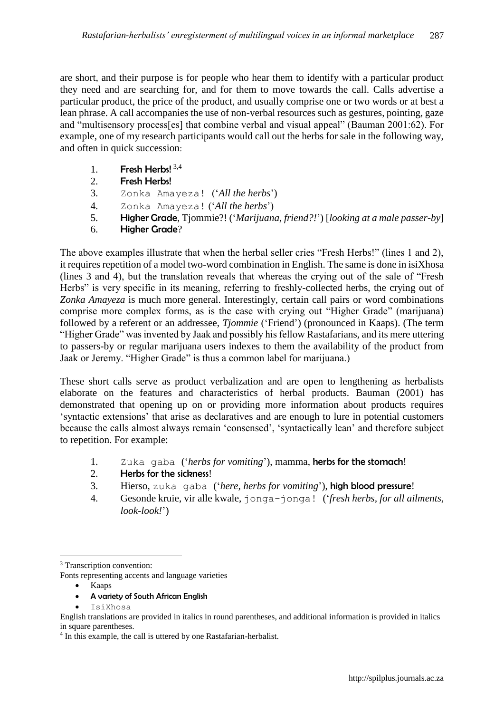are short, and their purpose is for people who hear them to identify with a particular product they need and are searching for, and for them to move towards the call. Calls advertise a particular product, the price of the product, and usually comprise one or two words or at best a lean phrase. A call accompanies the use of non-verbal resources such as gestures, pointing, gaze and "multisensory process[es] that combine verbal and visual appeal" (Bauman 2001:62). For example, one of my research participants would call out the herbs for sale in the following way, and often in quick succession:

- 1. Fresh Herbs!  $3,4$
- 2. Fresh Herbs!
- 3. Zonka Amayeza! ('*All the herbs*')
- 4. Zonka Amayeza! ('*All the herbs*')
- 5. Higher Grade, Tjommie?! ('*Marijuana, friend?!*') [*looking at a male passer-by*]
- 6. Higher Grade?

The above examples illustrate that when the herbal seller cries "Fresh Herbs!" (lines 1 and 2), it requires repetition of a model two-word combination in English. The same is done in isiXhosa (lines 3 and 4), but the translation reveals that whereas the crying out of the sale of "Fresh Herbs" is very specific in its meaning, referring to freshly-collected herbs, the crying out of *Zonka Amayeza* is much more general. Interestingly, certain call pairs or word combinations comprise more complex forms, as is the case with crying out "Higher Grade" (marijuana) followed by a referent or an addressee, *Tjommie* ('Friend') (pronounced in Kaaps). (The term "Higher Grade" was invented by Jaak and possibly his fellow Rastafarians, and its mere uttering to passers-by or regular marijuana users indexes to them the availability of the product from Jaak or Jeremy. "Higher Grade" is thus a common label for marijuana.)

These short calls serve as product verbalization and are open to lengthening as herbalists elaborate on the features and characteristics of herbal products. Bauman (2001) has demonstrated that opening up on or providing more information about products requires 'syntactic extensions' that arise as declaratives and are enough to lure in potential customers because the calls almost always remain 'consensed', 'syntactically lean' and therefore subject to repetition. For example:

- 1. Zuka gaba ('*herbs for vomiting*'), mamma, herbs for the stomach!
- $2.$  Herbs for the sickness!
- 3. Hierso, zuka gaba ('*here, herbs for vomiting*'), high blood pressure!
- 4. Gesonde kruie, vir alle kwale, jonga-jonga! ('*fresh herbs, for all ailments, look-look!*')

- Kaaps
- A variety of South African English
- IsiXhosa

English translations are provided in italics in round parentheses, and additional information is provided in italics in square parentheses.

 $\overline{a}$ <sup>3</sup> Transcription convention:

Fonts representing accents and language varieties

<sup>&</sup>lt;sup>4</sup> In this example, the call is uttered by one Rastafarian-herbalist.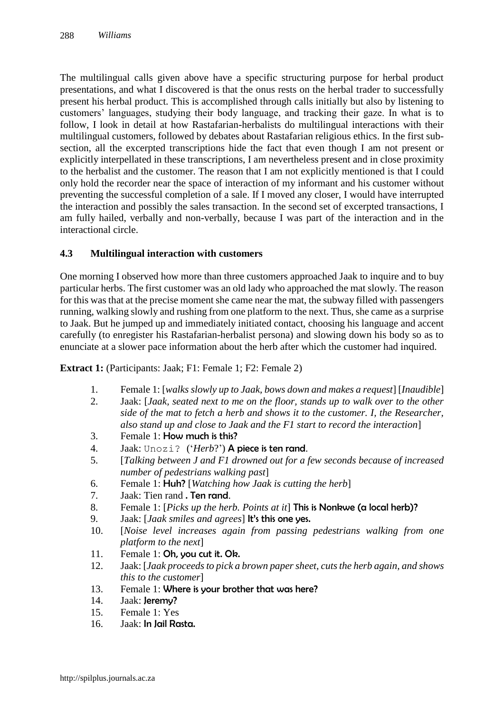The multilingual calls given above have a specific structuring purpose for herbal product presentations, and what I discovered is that the onus rests on the herbal trader to successfully present his herbal product. This is accomplished through calls initially but also by listening to customers' languages, studying their body language, and tracking their gaze. In what is to follow, I look in detail at how Rastafarian-herbalists do multilingual interactions with their multilingual customers, followed by debates about Rastafarian religious ethics. In the first subsection, all the excerpted transcriptions hide the fact that even though I am not present or explicitly interpellated in these transcriptions, I am nevertheless present and in close proximity to the herbalist and the customer. The reason that I am not explicitly mentioned is that I could only hold the recorder near the space of interaction of my informant and his customer without preventing the successful completion of a sale. If I moved any closer, I would have interrupted the interaction and possibly the sales transaction. In the second set of excerpted transactions, I am fully hailed, verbally and non-verbally, because I was part of the interaction and in the interactional circle.

### **4.3 Multilingual interaction with customers**

One morning I observed how more than three customers approached Jaak to inquire and to buy particular herbs. The first customer was an old lady who approached the mat slowly. The reason for this was that at the precise moment she came near the mat, the subway filled with passengers running, walking slowly and rushing from one platform to the next. Thus, she came as a surprise to Jaak. But he jumped up and immediately initiated contact, choosing his language and accent carefully (to enregister his Rastafarian-herbalist persona) and slowing down his body so as to enunciate at a slower pace information about the herb after which the customer had inquired.

**Extract 1:** (Participants: Jaak; F1: Female 1; F2: Female 2)

- 1. Female 1: [*walks slowly up to Jaak, bows down and makes a request*] [*Inaudible*]
- 2. Jaak: [*Jaak, seated next to me on the floor, stands up to walk over to the other side of the mat to fetch a herb and shows it to the customer. I, the Researcher, also stand up and close to Jaak and the F1 start to record the interaction*]
- 3. Female 1: How much is this?
- 4. Jaak: Unozi? ('*Herb*?') **A piece is ten rand**.
- 5. [*Talking between J and F1 drowned out for a few seconds because of increased number of pedestrians walking past*]
- 6. Female 1: Huh? [*Watching how Jaak is cutting the herb*]
- 7. Jaak: Tien rand . Ten rand.
- 8. Female 1: [*Picks up the herb. Points at it*] This is Nonkwe (a local herb)?
- 9. Jaak: [*Jaak smiles and agrees*] It's this one yes.
- 10. [*Noise level increases again from passing pedestrians walking from one platform to the next*]
- 11. Female 1: Oh, you cut it. Ok.
- 12. Jaak: [*Jaak proceeds to pick a brown paper sheet, cuts the herb again, and shows this to the customer*]
- 13. Female 1: Where is your brother that was here?
- 14. Jaak: Jeremu?
- 15. Female 1: Yes
- 16. Jaak: In Jail Rasta.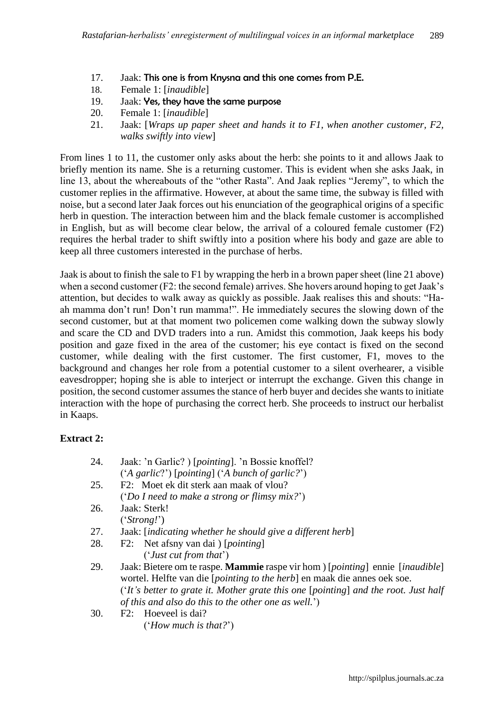- 17. Jaak: This one is from Knysna and this one comes from P.E.
- 18. Female 1: [*inaudible*]
- 19. Jaak: Yes, they have the same purpose
- 20. Female 1: [*inaudible*]
- 21. Jaak: [*Wraps up paper sheet and hands it to F1, when another customer, F2, walks swiftly into view*]

From lines 1 to 11, the customer only asks about the herb: she points to it and allows Jaak to briefly mention its name. She is a returning customer. This is evident when she asks Jaak, in line 13, about the whereabouts of the "other Rasta". And Jaak replies "Jeremy", to which the customer replies in the affirmative. However, at about the same time, the subway is filled with noise, but a second later Jaak forces out his enunciation of the geographical origins of a specific herb in question. The interaction between him and the black female customer is accomplished in English, but as will become clear below, the arrival of a coloured female customer (F2) requires the herbal trader to shift swiftly into a position where his body and gaze are able to keep all three customers interested in the purchase of herbs.

Jaak is about to finish the sale to F1 by wrapping the herb in a brown paper sheet (line 21 above) when a second customer (F2: the second female) arrives. She hovers around hoping to get Jaak's attention, but decides to walk away as quickly as possible. Jaak realises this and shouts: "Haah mamma don't run! Don't run mamma!". He immediately secures the slowing down of the second customer, but at that moment two policemen come walking down the subway slowly and scare the CD and DVD traders into a run. Amidst this commotion, Jaak keeps his body position and gaze fixed in the area of the customer; his eye contact is fixed on the second customer, while dealing with the first customer. The first customer, F1, moves to the background and changes her role from a potential customer to a silent overhearer, a visible eavesdropper; hoping she is able to interject or interrupt the exchange. Given this change in position, the second customer assumes the stance of herb buyer and decides she wants to initiate interaction with the hope of purchasing the correct herb. She proceeds to instruct our herbalist in Kaaps.

# **Extract 2:**

| 24. | Jaak: 'n Garlic?) [ <i>pointing</i> ]. 'n Bossie knoffel?                                               |
|-----|---------------------------------------------------------------------------------------------------------|
|     | ('A garlic?') [pointing] ('A bunch of garlic?')                                                         |
| 25. | F2: Moet ek dit sterk aan maak of vlou?                                                                 |
|     | ('Do I need to make a strong or flimsy mix?')                                                           |
| 26. | Jaak: Sterk!                                                                                            |
|     | ('Strong!)                                                                                              |
| 27. | Jaak: [indicating whether he should give a different herb]                                              |
| 28. | F2: Net afsny van dai ) [ <i>pointing</i> ]                                                             |
|     | ('Just cut from that')                                                                                  |
| 29. | Jaak: Bietere om te raspe. <b>Mammie</b> raspe vir hom ) [ <i>pointing</i> ] ennie [ <i>inaudible</i> ] |
|     | wortel. Helfte van die <i>[pointing to the herb</i> ] en maak die annes oek soe.                        |
|     | ('It's better to grate it. Mother grate this one [pointing] and the root. Just half                     |
|     | of this and also do this to the other one as well.')                                                    |
| 30. | Hoeveel is dai?<br>F2:                                                                                  |
|     |                                                                                                         |

('*How much is that?*')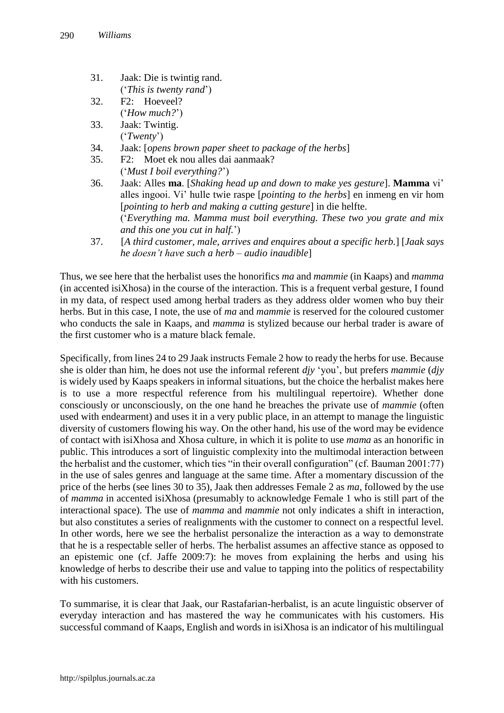- 31. Jaak: Die is twintig rand. ('*This is twenty rand*')
- 32. F2: Hoeveel? ('*How much?*')
- 33. Jaak: Twintig. ('*Twenty*')
- 34. Jaak: [*opens brown paper sheet to package of the herbs*]
- 35. F2: Moet ek nou alles dai aanmaak?
	- ('*Must I boil everything?*')
- 36. Jaak: Alles **ma**. [*Shaking head up and down to make yes gesture*]. **Mamma** vi' alles ingooi. Vi' hulle twie raspe [*pointing to the herbs*] en inmeng en vir hom [*pointing to herb and making a cutting gesture*] in die helfte. ('*Everything ma. Mamma must boil everything. These two you grate and mix and this one you cut in half.*')
- 37. [*A third customer, male, arrives and enquires about a specific herb.*] [*Jaak says he doesn't have such a herb – audio inaudible*]

Thus, we see here that the herbalist uses the honorifics *ma* and *mammie* (in Kaaps) and *mamma* (in accented isiXhosa) in the course of the interaction. This is a frequent verbal gesture, I found in my data, of respect used among herbal traders as they address older women who buy their herbs. But in this case, I note, the use of *ma* and *mammie* is reserved for the coloured customer who conducts the sale in Kaaps, and *mamma* is stylized because our herbal trader is aware of the first customer who is a mature black female.

Specifically, from lines 24 to 29 Jaak instructs Female 2 how to ready the herbs for use. Because she is older than him, he does not use the informal referent *djy* 'you', but prefers *mammie* (*djy* is widely used by Kaaps speakers in informal situations, but the choice the herbalist makes here is to use a more respectful reference from his multilingual repertoire). Whether done consciously or unconsciously, on the one hand he breaches the private use of *mammie* (often used with endearment) and uses it in a very public place, in an attempt to manage the linguistic diversity of customers flowing his way. On the other hand, his use of the word may be evidence of contact with isiXhosa and Xhosa culture, in which it is polite to use *mama* as an honorific in public. This introduces a sort of linguistic complexity into the multimodal interaction between the herbalist and the customer, which ties "in their overall configuration" (cf. Bauman 2001:77) in the use of sales genres and language at the same time. After a momentary discussion of the price of the herbs (see lines 30 to 35), Jaak then addresses Female 2 as *ma*, followed by the use of *mamma* in accented isiXhosa (presumably to acknowledge Female 1 who is still part of the interactional space). The use of *mamma* and *mammie* not only indicates a shift in interaction, but also constitutes a series of realignments with the customer to connect on a respectful level. In other words, here we see the herbalist personalize the interaction as a way to demonstrate that he is a respectable seller of herbs. The herbalist assumes an affective stance as opposed to an epistemic one (cf. Jaffe 2009:7): he moves from explaining the herbs and using his knowledge of herbs to describe their use and value to tapping into the politics of respectability with his customers.

To summarise, it is clear that Jaak, our Rastafarian-herbalist, is an acute linguistic observer of everyday interaction and has mastered the way he communicates with his customers. His successful command of Kaaps, English and words in isiXhosa is an indicator of his multilingual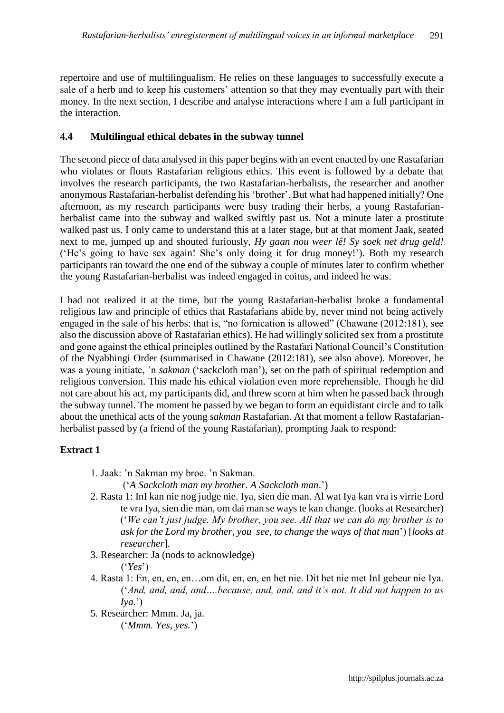repertoire and use of multilingualism. He relies on these languages to successfully execute a sale of a herb and to keep his customers' attention so that they may eventually part with their money. In the next section, I describe and analyse interactions where I am a full participant in the interaction.

# **4.4 Multilingual ethical debates in the subway tunnel**

The second piece of data analysed in this paper begins with an event enacted by one Rastafarian who violates or flouts Rastafarian religious ethics. This event is followed by a debate that involves the research participants, the two Rastafarian-herbalists, the researcher and another anonymous Rastafarian-herbalist defending his 'brother'. But what had happened initially? One afternoon, as my research participants were busy trading their herbs, a young Rastafarianherbalist came into the subway and walked swiftly past us. Not a minute later a prostitute walked past us. I only came to understand this at a later stage, but at that moment Jaak, seated next to me, jumped up and shouted furiously, *Hy gaan nou weer lê! Sy soek net drug geld!* ('He's going to have sex again! She's only doing it for drug money!'). Both my research participants ran toward the one end of the subway a couple of minutes later to confirm whether the young Rastafarian-herbalist was indeed engaged in coitus, and indeed he was.

I had not realized it at the time, but the young Rastafarian-herbalist broke a fundamental religious law and principle of ethics that Rastafarians abide by, never mind not being actively engaged in the sale of his herbs: that is, "no fornication is allowed" (Chawane (2012:181), see also the discussion above of Rastafarian ethics). He had willingly solicited sex from a prostitute and gone against the ethical principles outlined by the Rastafari National Council's Constitution of the Nyabhingi Order (summarised in Chawane (2012:181), see also above). Moreover, he was a young initiate, 'n *sakman* ('sackcloth man'), set on the path of spiritual redemption and religious conversion. This made his ethical violation even more reprehensible. Though he did not care about his act, my participants did, and threw scorn at him when he passed back through the subway tunnel. The moment he passed by we began to form an equidistant circle and to talk about the unethical acts of the young *sakman* Rastafarian. At that moment a fellow Rastafarianherbalist passed by (a friend of the young Rastafarian), prompting Jaak to respond:

# **Extract 1**

1. Jaak: 'n Sakman my broe. 'n Sakman.

('*A Sackcloth man my brother. A Sackcloth man*.')

- 2. Rasta 1: InI kan nie nog judge nie. Iya, sien die man. Al wat Iya kan vra is virrie Lord te vra Iya, sien die man, om dai man se ways te kan change. (looks at Researcher) ('*We can't just judge. My brother, you see. All that we can do my brother is to ask for the Lord my brother, you see, to change the ways of that man*') [*looks at researcher*]*.*
- 3. Researcher: Ja (nods to acknowledge) ('*Yes*')
- 4. Rasta 1: En, en, en, en…om dit, en, en, en het nie. Dit het nie met InI gebeur nie Iya. ('*And, and, and, and….because, and, and, and it's not. It did not happen to us Iya.*')
- 5. Researcher: Mmm. Ja, ja.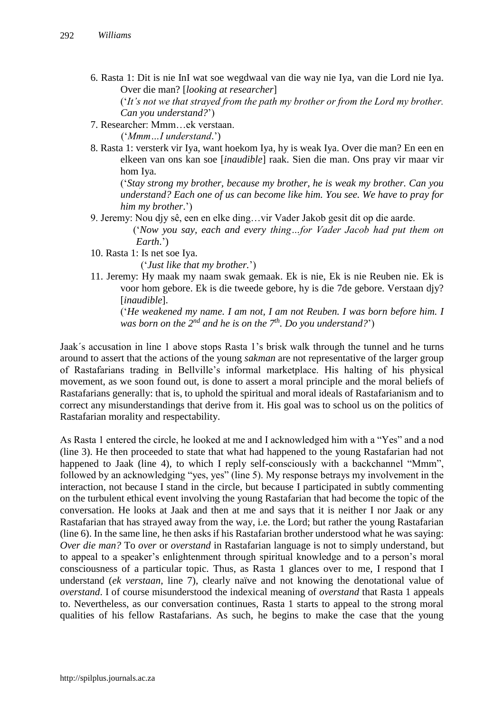6. Rasta 1: Dit is nie InI wat soe wegdwaal van die way nie Iya, van die Lord nie Iya. Over die man? [*looking at researcher*]

('*It's not we that strayed from the path my brother or from the Lord my brother. Can you understand?*')

7. Researcher: Mmm…ek verstaan.

('*Mmm…I understand*.')

8. Rasta 1: versterk vir Iya, want hoekom Iya, hy is weak Iya. Over die man? En een en elkeen van ons kan soe [*inaudible*] raak. Sien die man. Ons pray vir maar vir hom Iya.

('*Stay strong my brother, because my brother, he is weak my brother. Can you understand? Each one of us can become like him. You see. We have to pray for him my brother*.')

9. Jeremy: Nou djy sê, een en elke ding…vir Vader Jakob gesit dit op die aarde.

 ('*Now you say, each and every thing…for Vader Jacob had put them on Earth*.')

10. Rasta 1: Is net soe Iya.

('*Just like that my brother.*')

11. Jeremy: Hy maak my naam swak gemaak. Ek is nie, Ek is nie Reuben nie. Ek is voor hom gebore. Ek is die tweede gebore, hy is die 7de gebore. Verstaan djy? [*inaudible*].

('*He weakened my name. I am not, I am not Reuben. I was born before him. I was born on the 2nd and he is on the 7th. Do you understand?*')

Jaak´s accusation in line 1 above stops Rasta 1's brisk walk through the tunnel and he turns around to assert that the actions of the young *sakman* are not representative of the larger group of Rastafarians trading in Bellville's informal marketplace. His halting of his physical movement, as we soon found out, is done to assert a moral principle and the moral beliefs of Rastafarians generally: that is, to uphold the spiritual and moral ideals of Rastafarianism and to correct any misunderstandings that derive from it. His goal was to school us on the politics of Rastafarian morality and respectability.

As Rasta 1 entered the circle, he looked at me and I acknowledged him with a "Yes" and a nod (line 3). He then proceeded to state that what had happened to the young Rastafarian had not happened to Jaak (line 4), to which I reply self-consciously with a backchannel "Mmm", followed by an acknowledging "yes, yes" (line 5). My response betrays my involvement in the interaction, not because I stand in the circle, but because I participated in subtly commenting on the turbulent ethical event involving the young Rastafarian that had become the topic of the conversation. He looks at Jaak and then at me and says that it is neither I nor Jaak or any Rastafarian that has strayed away from the way, i.e. the Lord; but rather the young Rastafarian (line 6). In the same line, he then asks if his Rastafarian brother understood what he was saying: *Over die man?* To *over* or *overstand* in Rastafarian language is not to simply understand, but to appeal to a speaker's enlightenment through spiritual knowledge and to a person's moral consciousness of a particular topic. Thus, as Rasta 1 glances over to me, I respond that I understand (*ek verstaan*, line 7), clearly naïve and not knowing the denotational value of *overstand*. I of course misunderstood the indexical meaning of *overstand* that Rasta 1 appeals to. Nevertheless, as our conversation continues, Rasta 1 starts to appeal to the strong moral qualities of his fellow Rastafarians. As such, he begins to make the case that the young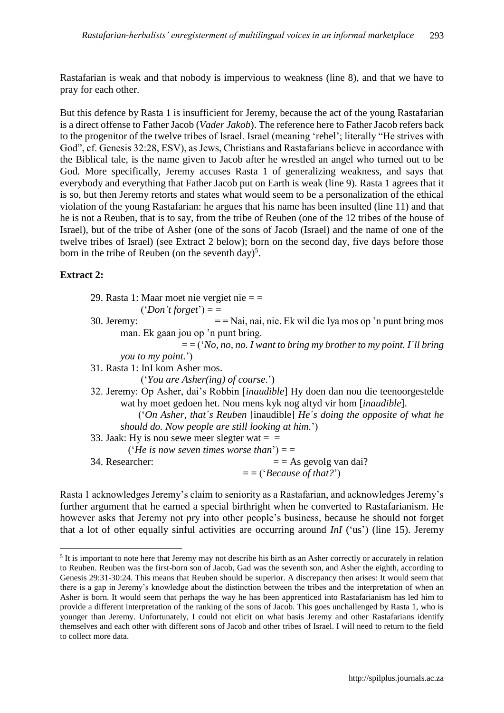Rastafarian is weak and that nobody is impervious to weakness (line 8), and that we have to pray for each other.

But this defence by Rasta 1 is insufficient for Jeremy, because the act of the young Rastafarian is a direct offense to Father Jacob (*Vader Jakob*). The reference here to Father Jacob refers back to the progenitor of the twelve tribes of Israel. Israel (meaning 'rebel'; literally "He strives with God", cf. Genesis 32:28, ESV), as Jews, Christians and Rastafarians believe in accordance with the Biblical tale, is the name given to Jacob after he wrestled an angel who turned out to be God. More specifically, Jeremy accuses Rasta 1 of generalizing weakness, and says that everybody and everything that Father Jacob put on Earth is weak (line 9). Rasta 1 agrees that it is so, but then Jeremy retorts and states what would seem to be a personalization of the ethical violation of the young Rastafarian: he argues that his name has been insulted (line 11) and that he is not a Reuben, that is to say, from the tribe of Reuben (one of the 12 tribes of the house of Israel), but of the tribe of Asher (one of the sons of Jacob (Israel) and the name of one of the twelve tribes of Israel) (see Extract 2 below); born on the second day, five days before those born in the tribe of Reuben (on the seventh day)<sup>5</sup>.

# **Extract 2:**

 $\overline{a}$ 

29. Rasta 1: Maar moet nie vergiet nie = =

 $('Don't forget') =$ 

30. Jeremy: = = Nai, nai, nie. Ek wil die Iya mos op 'n punt bring mos man. Ek gaan jou op 'n punt bring.

= = ('*No, no, no. I want to bring my brother to my point. I´ll bring you to my point.*')

31. Rasta 1: InI kom Asher mos.

('*You are Asher(ing) of course*.')

32. Jeremy: Op Asher, dai's Robbin [*inaudible*] Hy doen dan nou die teenoorgestelde wat hy moet gedoen het. Nou mens kyk nog altyd vir hom [*inaudible*].

 ('*On Asher, that´s Reuben* [inaudible] *He´s doing the opposite of what he should do. Now people are still looking at him.*')

33. Jaak: Hy is nou sewe meer slegter wat  $=$   $=$ 

('*He is now seven times worse than*') = =

34. Researcher:  $=$  As gevolg van dai?

= = ('*Because of that?*')

Rasta 1 acknowledges Jeremy's claim to seniority as a Rastafarian, and acknowledges Jeremy's further argument that he earned a special birthright when he converted to Rastafarianism. He however asks that Jeremy not pry into other people's business, because he should not forget that a lot of other equally sinful activities are occurring around *InI* ('us') (line 15). Jeremy

 $<sup>5</sup>$  It is important to note here that Jeremy may not describe his birth as an Asher correctly or accurately in relation</sup> to Reuben. Reuben was the first-born son of Jacob, Gad was the seventh son, and Asher the eighth, according to Genesis 29:31-30:24. This means that Reuben should be superior. A discrepancy then arises: It would seem that there is a gap in Jeremy's knowledge about the distinction between the tribes and the interpretation of when an Asher is born. It would seem that perhaps the way he has been apprenticed into Rastafarianism has led him to provide a different interpretation of the ranking of the sons of Jacob. This goes unchallenged by Rasta 1, who is younger than Jeremy. Unfortunately, I could not elicit on what basis Jeremy and other Rastafarians identify themselves and each other with different sons of Jacob and other tribes of Israel. I will need to return to the field to collect more data.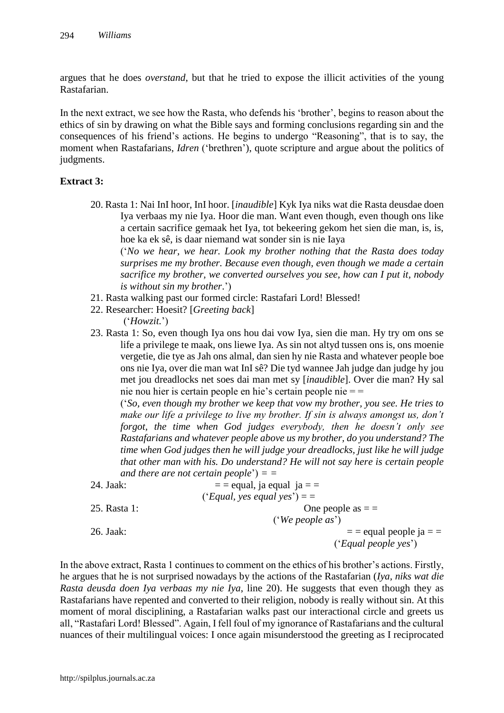argues that he does *overstand*, but that he tried to expose the illicit activities of the young Rastafarian.

In the next extract, we see how the Rasta, who defends his 'brother', begins to reason about the ethics of sin by drawing on what the Bible says and forming conclusions regarding sin and the consequences of his friend's actions. He begins to undergo "Reasoning", that is to say, the moment when Rastafarians, *Idren* ('brethren'), quote scripture and argue about the politics of judgments.

#### **Extract 3:**

20. Rasta 1: Nai InI hoor, InI hoor. [*inaudible*] Kyk Iya niks wat die Rasta deusdae doen Iya verbaas my nie Iya. Hoor die man. Want even though, even though ons like a certain sacrifice gemaak het Iya, tot bekeering gekom het sien die man, is, is, hoe ka ek sê, is daar niemand wat sonder sin is nie Iaya

('*No we hear, we hear. Look my brother nothing that the Rasta does today surprises me my brother. Because even though, even though we made a certain sacrifice my brother, we converted ourselves you see, how can I put it, nobody is without sin my brother*.')

- 21. Rasta walking past our formed circle: Rastafari Lord! Blessed!
- 22. Researcher: Hoesit? [*Greeting back*]

('*Howzit.*')

23. Rasta 1: So, even though Iya ons hou dai vow Iya, sien die man. Hy try om ons se life a privilege te maak, ons liewe Iya. As sin not altyd tussen ons is, ons moenie vergetie, die tye as Jah ons almal, dan sien hy nie Rasta and whatever people boe ons nie Iya, over die man wat InI sê? Die tyd wannee Jah judge dan judge hy jou met jou dreadlocks net soes dai man met sy [*inaudible*]. Over die man? Hy sal nie nou hier is certain people en hie's certain people nie = =

('*So, even though my brother we keep that vow my brother, you see. He tries to make our life a privilege to live my brother. If sin is always amongst us, don't forgot, the time when God judges everybody, then he doesn't only see Rastafarians and whatever people above us my brother, do you understand? The time when God judges then he will judge your dreadlocks, just like he will judge that other man with his. Do understand? He will not say here is certain people and there are not certain people*') *= =* 

| 24. Jaak:    | $=$ = equal, ja equal ja = =   |
|--------------|--------------------------------|
|              | ('Equal, yes equal yes') $=$ = |
| 25. Rasta 1: | One people as $=$ $=$          |
|              | ('We people $as$ ')            |
| 26. Jaak:    | $=$ = equal people ja = $=$    |
|              | ('Equal people yes')           |

In the above extract, Rasta 1 continues to comment on the ethics of his brother's actions. Firstly, he argues that he is not surprised nowadays by the actions of the Rastafarian (*Iya, niks wat die Rasta deusda doen Iya verbaas my nie Iya*, line 20). He suggests that even though they as Rastafarians have repented and converted to their religion, nobody is really without sin. At this moment of moral disciplining, a Rastafarian walks past our interactional circle and greets us all, "Rastafari Lord! Blessed". Again, I fell foul of my ignorance of Rastafarians and the cultural nuances of their multilingual voices: I once again misunderstood the greeting as I reciprocated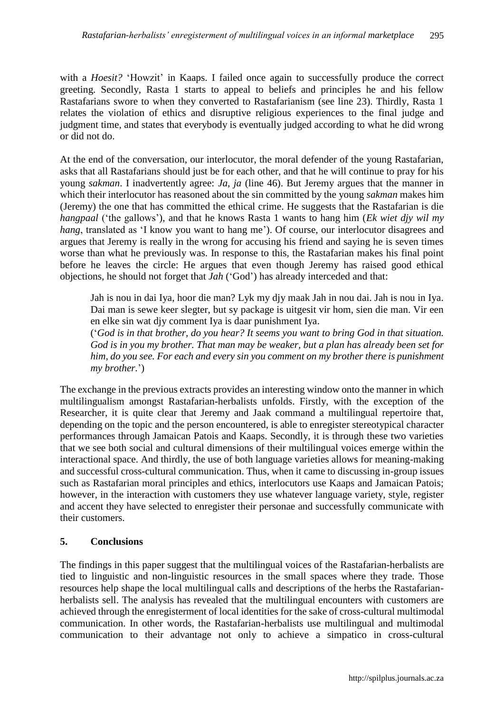with a *Hoesit?* 'Howzit' in Kaaps. I failed once again to successfully produce the correct greeting. Secondly, Rasta 1 starts to appeal to beliefs and principles he and his fellow Rastafarians swore to when they converted to Rastafarianism (see line 23). Thirdly, Rasta 1 relates the violation of ethics and disruptive religious experiences to the final judge and judgment time, and states that everybody is eventually judged according to what he did wrong or did not do.

At the end of the conversation, our interlocutor, the moral defender of the young Rastafarian, asks that all Rastafarians should just be for each other, and that he will continue to pray for his young *sakman*. I inadvertently agree: *Ja, ja* (line 46). But Jeremy argues that the manner in which their interlocutor has reasoned about the sin committed by the young *sakman* makes him (Jeremy) the one that has committed the ethical crime. He suggests that the Rastafarian is die *hangpaal* ('the gallows'), and that he knows Rasta 1 wants to hang him (*Ek wiet djy wil my hang*, translated as 'I know you want to hang me'). Of course, our interlocutor disagrees and argues that Jeremy is really in the wrong for accusing his friend and saying he is seven times worse than what he previously was. In response to this, the Rastafarian makes his final point before he leaves the circle: He argues that even though Jeremy has raised good ethical objections, he should not forget that *Jah* ('God') has already interceded and that:

Jah is nou in dai Iya, hoor die man? Lyk my djy maak Jah in nou dai. Jah is nou in Iya. Dai man is sewe keer slegter, but sy package is uitgesit vir hom, sien die man. Vir een en elke sin wat djy comment Iya is daar punishment Iya.

('*God is in that brother, do you hear? It seems you want to bring God in that situation. God is in you my brother. That man may be weaker, but a plan has already been set for him, do you see. For each and every sin you comment on my brother there is punishment my brother.*')

The exchange in the previous extracts provides an interesting window onto the manner in which multilingualism amongst Rastafarian-herbalists unfolds. Firstly, with the exception of the Researcher, it is quite clear that Jeremy and Jaak command a multilingual repertoire that, depending on the topic and the person encountered, is able to enregister stereotypical character performances through Jamaican Patois and Kaaps. Secondly, it is through these two varieties that we see both social and cultural dimensions of their multilingual voices emerge within the interactional space. And thirdly, the use of both language varieties allows for meaning-making and successful cross-cultural communication. Thus, when it came to discussing in-group issues such as Rastafarian moral principles and ethics, interlocutors use Kaaps and Jamaican Patois; however, in the interaction with customers they use whatever language variety, style, register and accent they have selected to enregister their personae and successfully communicate with their customers.

# **5. Conclusions**

The findings in this paper suggest that the multilingual voices of the Rastafarian-herbalists are tied to linguistic and non-linguistic resources in the small spaces where they trade. Those resources help shape the local multilingual calls and descriptions of the herbs the Rastafarianherbalists sell. The analysis has revealed that the multilingual encounters with customers are achieved through the enregisterment of local identities for the sake of cross-cultural multimodal communication. In other words, the Rastafarian-herbalists use multilingual and multimodal communication to their advantage not only to achieve a simpatico in cross-cultural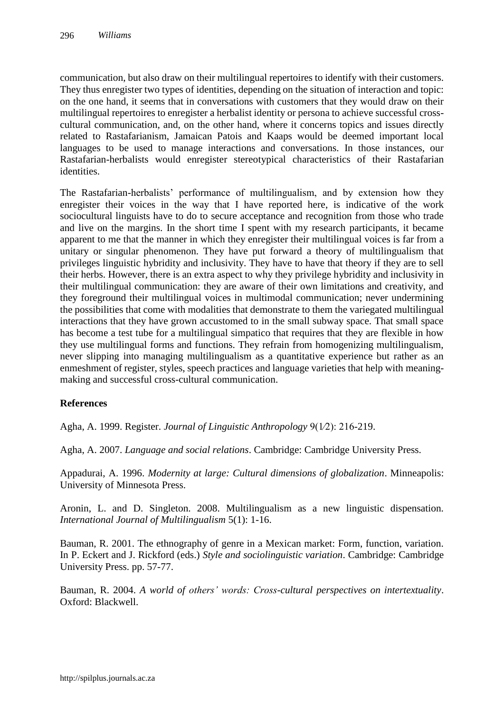communication, but also draw on their multilingual repertoires to identify with their customers. They thus enregister two types of identities, depending on the situation of interaction and topic: on the one hand, it seems that in conversations with customers that they would draw on their multilingual repertoires to enregister a herbalist identity or persona to achieve successful crosscultural communication, and, on the other hand, where it concerns topics and issues directly related to Rastafarianism, Jamaican Patois and Kaaps would be deemed important local languages to be used to manage interactions and conversations. In those instances, our Rastafarian-herbalists would enregister stereotypical characteristics of their Rastafarian identities.

The Rastafarian-herbalists' performance of multilingualism, and by extension how they enregister their voices in the way that I have reported here, is indicative of the work sociocultural linguists have to do to secure acceptance and recognition from those who trade and live on the margins. In the short time I spent with my research participants, it became apparent to me that the manner in which they enregister their multilingual voices is far from a unitary or singular phenomenon. They have put forward a theory of multilingualism that privileges linguistic hybridity and inclusivity. They have to have that theory if they are to sell their herbs. However, there is an extra aspect to why they privilege hybridity and inclusivity in their multilingual communication: they are aware of their own limitations and creativity, and they foreground their multilingual voices in multimodal communication; never undermining the possibilities that come with modalities that demonstrate to them the variegated multilingual interactions that they have grown accustomed to in the small subway space. That small space has become a test tube for a multilingual simpatico that requires that they are flexible in how they use multilingual forms and functions. They refrain from homogenizing multilingualism, never slipping into managing multilingualism as a quantitative experience but rather as an enmeshment of register, styles, speech practices and language varieties that help with meaningmaking and successful cross-cultural communication.

#### **References**

Agha, A. 1999. Register. *Journal of Linguistic Anthropology* 9(1⁄2): 216-219.

Agha, A. 2007. *Language and social relations*. Cambridge: Cambridge University Press.

Appadurai, A. 1996. *Modernity at large: Cultural dimensions of globalization*. Minneapolis: University of Minnesota Press.

Aronin, L. and D. Singleton. 2008. Multilingualism as a new linguistic dispensation. *International Journal of Multilingualism* 5(1): 1-16.

Bauman, R. 2001. The ethnography of genre in a Mexican market: Form, function, variation. In P. Eckert and J. Rickford (eds.) *Style and sociolinguistic variation*. Cambridge: Cambridge University Press. pp. 57-77.

Bauman, R. 2004. *A world of others' words: Cross-cultural perspectives on intertextuality*. Oxford: Blackwell.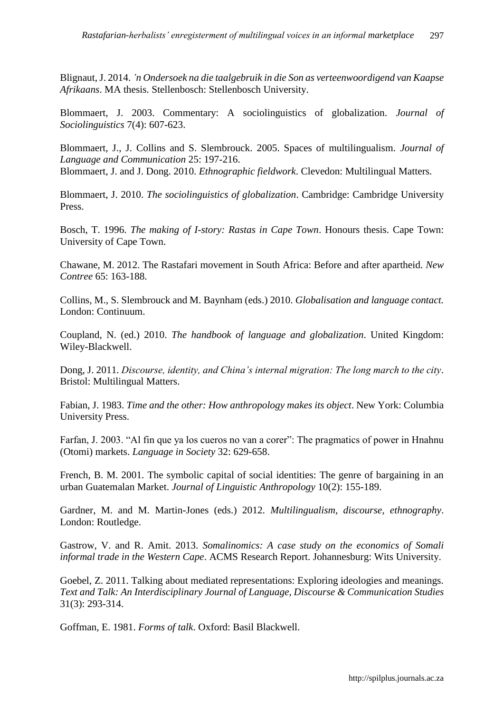Blignaut, J. 2014. *'n Ondersoek na die taalgebruik in die Son as verteenwoordigend van Kaapse Afrikaans*. MA thesis. Stellenbosch: Stellenbosch University.

Blommaert, J. 2003. Commentary: A sociolinguistics of globalization. *Journal of Sociolinguistics* 7(4): 607-623.

Blommaert, J., J. Collins and S. Slembrouck. 2005. Spaces of multilingualism. *Journal of Language and Communication* 25: 197-216. Blommaert, J. and J. Dong. 2010. *Ethnographic fieldwork*. Clevedon: Multilingual Matters.

Blommaert, J. 2010. *The sociolinguistics of globalization*. Cambridge: Cambridge University Press.

Bosch, T. 1996. *The making of I-story: Rastas in Cape Town*. Honours thesis. Cape Town: University of Cape Town.

Chawane, M. 2012. The Rastafari movement in South Africa: Before and after apartheid. *New Contree* 65: 163-188.

Collins, M., S. Slembrouck and M. Baynham (eds.) 2010. *Globalisation and language contact.*  London: Continuum.

Coupland, N. (ed.) 2010. *The handbook of language and globalization*. United Kingdom: Wiley-Blackwell.

Dong, J. 2011. *Discourse, identity, and China's internal migration: The long march to the city*. Bristol: Multilingual Matters.

Fabian, J. 1983. *Time and the other: How anthropology makes its object*. New York: Columbia University Press.

Farfan, J. 2003. "Al fin que ya los cueros no van a corer": The pragmatics of power in Hnahnu (Otomi) markets. *Language in Society* 32: 629-658.

French, B. M. 2001. The symbolic capital of social identities: The genre of bargaining in an urban Guatemalan Market. *Journal of Linguistic Anthropology* 10(2): 155-189.

Gardner, M. and M. Martin-Jones (eds.) 2012. *Multilingualism, discourse, ethnography*. London: Routledge.

Gastrow, V. and R. Amit. 2013. *Somalinomics: A case study on the economics of Somali informal trade in the Western Cape*. ACMS Research Report. Johannesburg: Wits University.

Goebel, Z. 2011. Talking about mediated representations: Exploring ideologies and meanings. *Text and Talk: An Interdisciplinary Journal of Language, Discourse & Communication Studies* 31(3): 293-314.

Goffman, E. 1981. *Forms of talk*. Oxford: Basil Blackwell.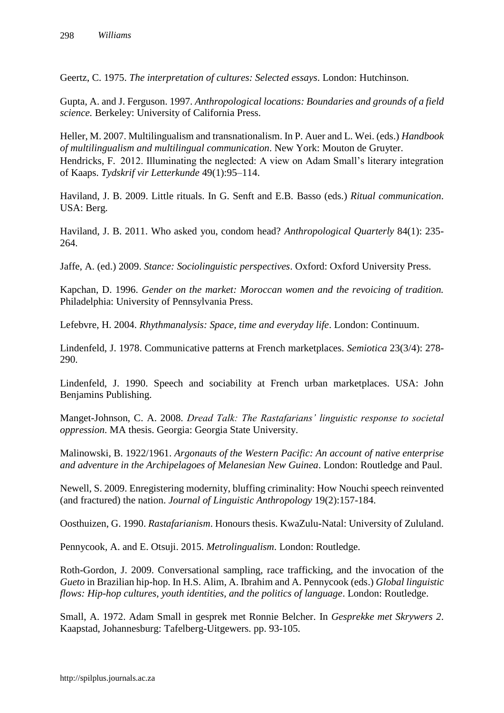Geertz, C. 1975. *The interpretation of cultures: Selected essays*. London: Hutchinson.

Gupta, A. and J. Ferguson. 1997. *Anthropological locations: Boundaries and grounds of a field science.* Berkeley: University of California Press.

Heller, M. 2007. Multilingualism and transnationalism. In P. Auer and L. Wei. (eds.) *Handbook of multilingualism and multilingual communication*. New York: Mouton de Gruyter. Hendricks, F. 2012. Illuminating the neglected: A view on Adam Small's literary integration of Kaaps. *Tydskrif vir Letterkunde* 49(1):95–114.

Haviland, J. B. 2009. Little rituals. In G. Senft and E.B. Basso (eds.) *Ritual communication*. USA: Berg.

Haviland, J. B. 2011. Who asked you, condom head? *Anthropological Quarterly* 84(1): 235- 264.

Jaffe, A. (ed.) 2009. *Stance: Sociolinguistic perspectives*. Oxford: Oxford University Press.

Kapchan, D. 1996. *Gender on the market: Moroccan women and the revoicing of tradition.*  Philadelphia: University of Pennsylvania Press.

Lefebvre, H. 2004. *Rhythmanalysis: Space, time and everyday life*. London: Continuum.

Lindenfeld, J. 1978. Communicative patterns at French marketplaces. *Semiotica* 23(3/4): 278- 290.

Lindenfeld, J. 1990. Speech and sociability at French urban marketplaces. USA: John Benjamins Publishing.

Manget-Johnson, C. A. 2008. *Dread Talk: The Rastafarians' linguistic response to societal oppression*. MA thesis. Georgia: Georgia State University.

Malinowski, B. 1922/1961. *Argonauts of the Western Pacific: An account of native enterprise and adventure in the Archipelagoes of Melanesian New Guinea*. London: Routledge and Paul.

Newell, S. 2009. Enregistering modernity, bluffing criminality: How Nouchi speech reinvented (and fractured) the nation. *Journal of Linguistic Anthropology* 19(2):157-184.

Oosthuizen, G. 1990. *Rastafarianism*. Honours thesis. KwaZulu-Natal: University of Zululand.

Pennycook, A. and E. Otsuji. 2015. *Metrolingualism*. London: Routledge.

Roth-Gordon, J. 2009. Conversational sampling, race trafficking, and the invocation of the *Gueto* in Brazilian hip-hop. In H.S. Alim, A. Ibrahim and A. Pennycook (eds.) *Global linguistic flows: Hip-hop cultures, youth identities, and the politics of language*. London: Routledge.

Small, A. 1972. Adam Small in gesprek met Ronnie Belcher. In *Gesprekke met Skrywers 2*. Kaapstad, Johannesburg: Tafelberg-Uitgewers. pp. 93-105.